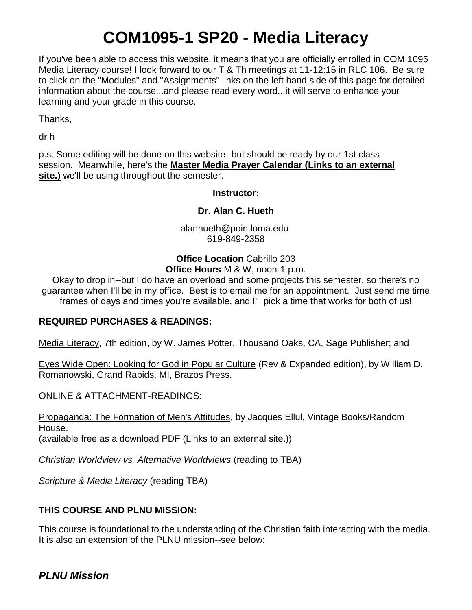# **COM1095-1 SP20 - Media Literacy**

If you've been able to access this website, it means that you are officially enrolled in COM 1095 Media Literacy course! I look forward to our T & Th meetings at 11-12:15 in RLC 106. Be sure to click on the "Modules" and "Assignments" links on the left hand side of this page for detailed information about the course...and please read every word...it will serve to enhance your learning and your grade in this course.

Thanks,

dr h

p.s. Some editing will be done on this website--but should be ready by our 1st class session. Meanwhile, here's the **[Master Media Prayer Calendar](https://mastermedia.com/) (Links to an external [site.\)](https://mastermedia.com/)** we'll be using throughout the semester.

**Instructor:**

#### **Dr. Alan C. Hueth**

[alanhueth@pointloma.edu](mailto:alanhueth@pointloma.edu) 619-849-2358

**Office Location** Cabrillo 203 **Office Hours** M & W, noon-1 p.m.

Okay to drop in--but I do have an overload and some projects this semester, so there's no guarantee when I'll be in my office. Best is to email me for an appointment. Just send me time frames of days and times you're available, and I'll pick a time that works for both of us!

#### **REQUIRED PURCHASES & READINGS:**

Media Literacy, 7th edition, by W. James Potter, Thousand Oaks, CA, Sage Publisher; and

Eyes Wide Open: Looking for God in Popular Culture (Rev & Expanded edition), by William D. Romanowski, Grand Rapids, MI, Brazos Press.

ONLINE & ATTACHMENT-READINGS:

Propaganda: The Formation of Men's Attitudes, by Jacques Ellul, Vintage Books/Random House. (available free as a [download PDF](https://monoskop.org/images/4/44/Ellul_Jacques_Propaganda_The_Formation_of_Mens_Attitudes.pdf) (Links to an external site.))

*Christian Worldview vs. Alternative Worldviews* (reading to TBA)

*Scripture & Media Literacy* (reading TBA)

### **THIS COURSE AND PLNU MISSION:**

This course is foundational to the understanding of the Christian faith interacting with the media. It is also an extension of the PLNU mission--see below: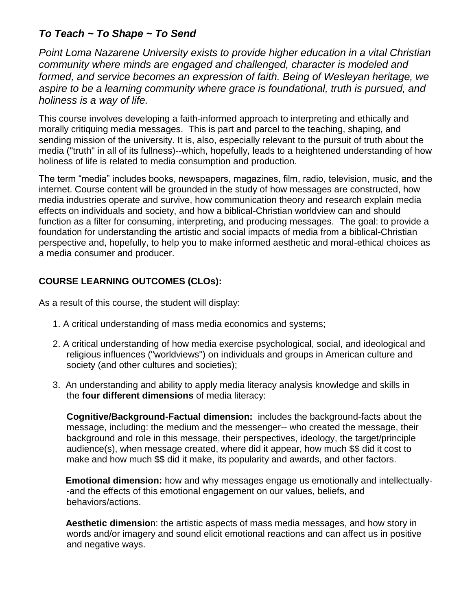# *To Teach ~ To Shape ~ To Send*

*Point Loma Nazarene University exists to provide higher education in a vital Christian community where minds are engaged and challenged, character is modeled and formed, and service becomes an expression of faith. Being of Wesleyan heritage, we aspire to be a learning community where grace is foundational, truth is pursued, and holiness is a way of life.*

This course involves developing a faith-informed approach to interpreting and ethically and morally critiquing media messages. This is part and parcel to the teaching, shaping, and sending mission of the university. It is, also, especially relevant to the pursuit of truth about the media ("truth" in all of its fullness)--which, hopefully, leads to a heightened understanding of how holiness of life is related to media consumption and production.

The term "media" includes books, newspapers, magazines, film, radio, television, music, and the internet. Course content will be grounded in the study of how messages are constructed, how media industries operate and survive, how communication theory and research explain media effects on individuals and society, and how a biblical-Christian worldview can and should function as a filter for consuming, interpreting, and producing messages. The goal: to provide a foundation for understanding the artistic and social impacts of media from a biblical-Christian perspective and, hopefully, to help you to make informed aesthetic and moral-ethical choices as a media consumer and producer.

# **COURSE LEARNING OUTCOMES (CLOs):**

As a result of this course, the student will display:

- 1. A critical understanding of mass media economics and systems;
- 2. A critical understanding of how media exercise psychological, social, and ideological and religious influences ("worldviews") on individuals and groups in American culture and society (and other cultures and societies);
- 3. An understanding and ability to apply media literacy analysis knowledge and skills in the **four different dimensions** of media literacy:

**Cognitive/Background-Factual dimension:** includes the background-facts about the message, including: the medium and the messenger-- who created the message, their background and role in this message, their perspectives, ideology, the target/principle audience(s), when message created, where did it appear, how much \$\$ did it cost to make and how much \$\$ did it make, its popularity and awards, and other factors.

**Emotional dimension:** how and why messages engage us emotionally and intellectually- -and the effects of this emotional engagement on our values, beliefs, and behaviors/actions.

**Aesthetic dimensio**n: the artistic aspects of mass media messages, and how story in words and/or imagery and sound elicit emotional reactions and can affect us in positive and negative ways.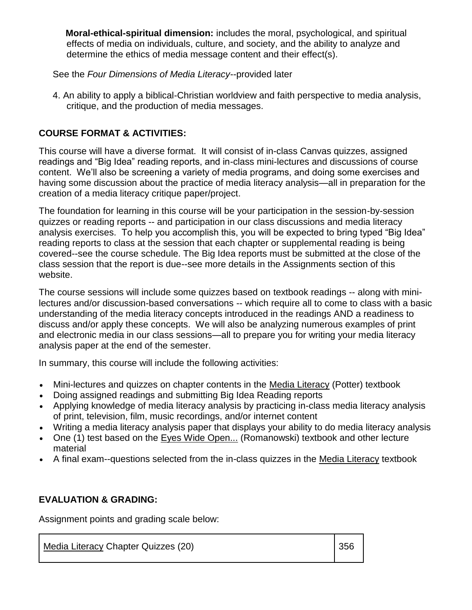**Moral-ethical-spiritual dimension:** includes the moral, psychological, and spiritual effects of media on individuals, culture, and society, and the ability to analyze and determine the ethics of media message content and their effect(s).

See the *Four Dimensions of Media Literacy*--provided later

4. An ability to apply a biblical-Christian worldview and faith perspective to media analysis, critique, and the production of media messages.

## **COURSE FORMAT & ACTIVITIES:**

This course will have a diverse format. It will consist of in-class Canvas quizzes, assigned readings and "Big Idea" reading reports, and in-class mini-lectures and discussions of course content. We'll also be screening a variety of media programs, and doing some exercises and having some discussion about the practice of media literacy analysis—all in preparation for the creation of a media literacy critique paper/project.

The foundation for learning in this course will be your participation in the session-by-session quizzes or reading reports -- and participation in our class discussions and media literacy analysis exercises. To help you accomplish this, you will be expected to bring typed "Big Idea" reading reports to class at the session that each chapter or supplemental reading is being covered--see the course schedule. The Big Idea reports must be submitted at the close of the class session that the report is due--see more details in the Assignments section of this website.

The course sessions will include some quizzes based on textbook readings -- along with minilectures and/or discussion-based conversations -- which require all to come to class with a basic understanding of the media literacy concepts introduced in the readings AND a readiness to discuss and/or apply these concepts. We will also be analyzing numerous examples of print and electronic media in our class sessions—all to prepare you for writing your media literacy analysis paper at the end of the semester.

In summary, this course will include the following activities:

- Mini-lectures and quizzes on chapter contents in the Media Literacy (Potter) textbook
- Doing assigned readings and submitting Big Idea Reading reports
- Applying knowledge of media literacy analysis by practicing in-class media literacy analysis of print, television, film, music recordings, and/or internet content
- Writing a media literacy analysis paper that displays your ability to do media literacy analysis
- One (1) test based on the Eyes Wide Open... (Romanowski) textbook and other lecture material
- A final exam--questions selected from the in-class quizzes in the Media Literacy textbook

# **EVALUATION & GRADING:**

Assignment points and grading scale below:

Media Literacy Chapter Quizzes (20) 356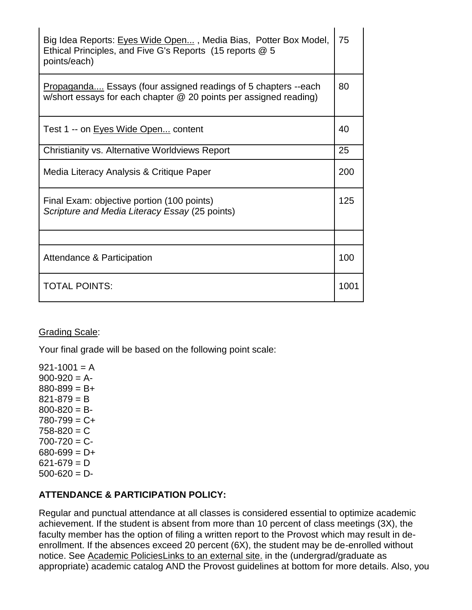| Big Idea Reports: Eves Wide Open, Media Bias, Potter Box Model,<br>Ethical Principles, and Five G's Reports (15 reports @ 5<br>points/each) | 75   |
|---------------------------------------------------------------------------------------------------------------------------------------------|------|
| Propaganda Essays (four assigned readings of 5 chapters --each<br>w/short essays for each chapter @ 20 points per assigned reading)         | 80   |
| Test 1 -- on Eyes Wide Open content                                                                                                         | 40   |
| Christianity vs. Alternative Worldviews Report                                                                                              | 25   |
| Media Literacy Analysis & Critique Paper                                                                                                    | 200  |
| Final Exam: objective portion (100 points)<br>Scripture and Media Literacy Essay (25 points)                                                | 125  |
|                                                                                                                                             |      |
| Attendance & Participation                                                                                                                  | 100  |
| <b>TOTAL POINTS:</b>                                                                                                                        | 1001 |

#### Grading Scale:

Your final grade will be based on the following point scale:

 $921 - 1001 = A$  $900-920 = A$  $880 - 899 = B +$  $821 - 879 = B$  $800 - 820 = B 780 - 799 = C +$  $758 - 820 = C$  $700 - 720 = C$  $680 - 699 = D +$  $621 - 679 = D$  $500 - 620 = D$ 

#### **ATTENDANCE & PARTICIPATION POLICY:**

Regular and punctual attendance at all classes is considered essential to optimize academic achievement. If the student is absent from more than 10 percent of class meetings (3X), the faculty member has the option of filing a written report to the Provost which may result in deenrollment. If the absences exceed 20 percent (6X), the student may be de-enrolled without notice. See [Academic PoliciesLinks](http://catalog.pointloma.edu/content.php?catoid=8&navoid=864#Class_Attendance) to an external site. in the (undergrad/graduate as appropriate) academic catalog AND the Provost guidelines at bottom for more details. Also, you